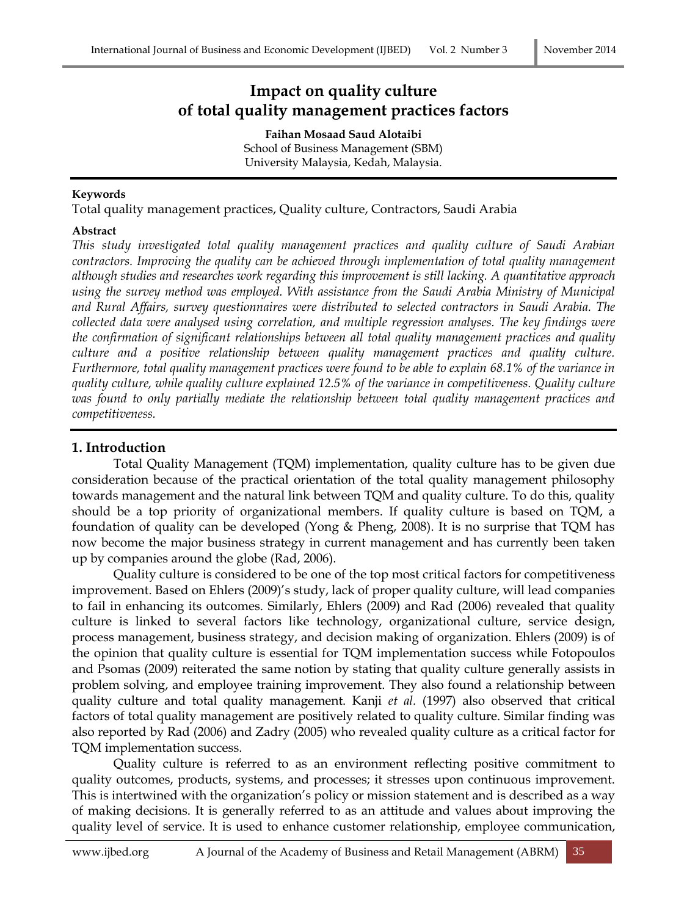# **Impact on quality culture of total quality management practices factors**

**Faihan Mosaad Saud Alotaibi** School of Business Management (SBM) University Malaysia, Kedah, Malaysia.

#### **Keywords**

Total quality management practices, Quality culture, Contractors, Saudi Arabia

#### **Abstract**

*This study investigated total quality management practices and quality culture of Saudi Arabian contractors. Improving the quality can be achieved through implementation of total quality management although studies and researches work regarding this improvement is still lacking. A quantitative approach using the survey method was employed. With assistance from the Saudi Arabia Ministry of Municipal and Rural Affairs, survey questionnaires were distributed to selected contractors in Saudi Arabia. The collected data were analysed using correlation, and multiple regression analyses. The key findings were the confirmation of significant relationships between all total quality management practices and quality culture and a positive relationship between quality management practices and quality culture. Furthermore, total quality management practices were found to be able to explain 68.1% of the variance in quality culture, while quality culture explained 12.5% of the variance in competitiveness. Quality culture was found to only partially mediate the relationship between total quality management practices and competitiveness.* 

#### **1. Introduction**

Total Quality Management (TQM) implementation, quality culture has to be given due consideration because of the practical orientation of the total quality management philosophy towards management and the natural link between TQM and quality culture. To do this, quality should be a top priority of organizational members. If quality culture is based on TQM, a foundation of quality can be developed (Yong & Pheng, 2008). It is no surprise that TQM has now become the major business strategy in current management and has currently been taken up by companies around the globe (Rad, 2006).

Quality culture is considered to be one of the top most critical factors for competitiveness improvement. Based on Ehlers (2009)'s study, lack of proper quality culture, will lead companies to fail in enhancing its outcomes. Similarly, Ehlers (2009) and Rad (2006) revealed that quality culture is linked to several factors like technology, organizational culture, service design, process management, business strategy, and decision making of organization. Ehlers (2009) is of the opinion that quality culture is essential for TQM implementation success while Fotopoulos and Psomas (2009) reiterated the same notion by stating that quality culture generally assists in problem solving, and employee training improvement. They also found a relationship between quality culture and total quality management. Kanji *et al.* (1997) also observed that critical factors of total quality management are positively related to quality culture. Similar finding was also reported by Rad (2006) and Zadry (2005) who revealed quality culture as a critical factor for TQM implementation success.

Quality culture is referred to as an environment reflecting positive commitment to quality outcomes, products, systems, and processes; it stresses upon continuous improvement. This is intertwined with the organization's policy or mission statement and is described as a way of making decisions. It is generally referred to as an attitude and values about improving the quality level of service. It is used to enhance customer relationship, employee communication,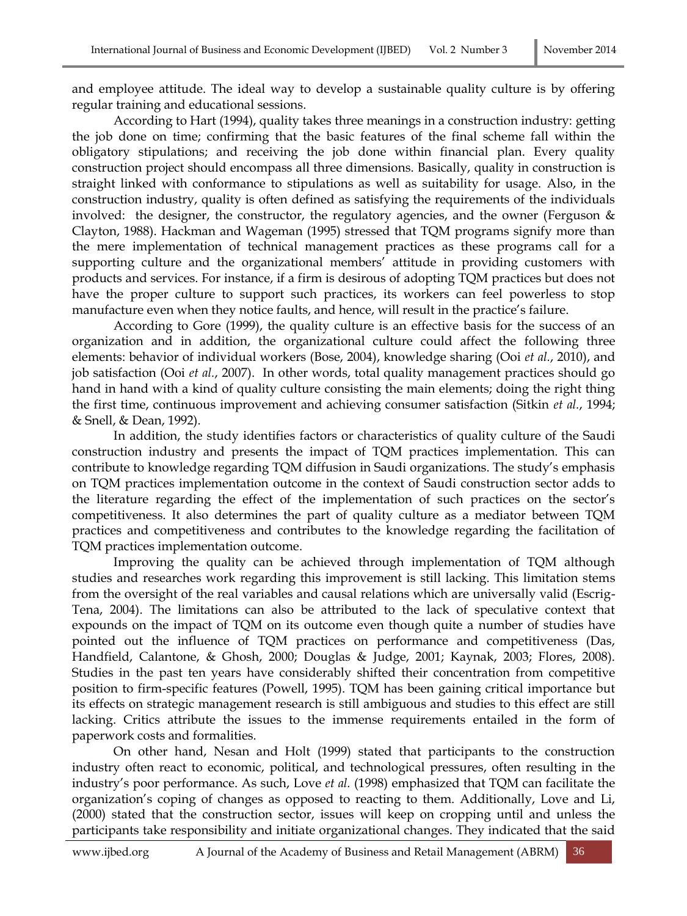and employee attitude. The ideal way to develop a sustainable quality culture is by offering regular training and educational sessions.

According to Hart (1994), quality takes three meanings in a construction industry: getting the job done on time; confirming that the basic features of the final scheme fall within the obligatory stipulations; and receiving the job done within financial plan. Every quality construction project should encompass all three dimensions. Basically, quality in construction is straight linked with conformance to stipulations as well as suitability for usage. Also, in the construction industry, quality is often defined as satisfying the requirements of the individuals involved: the designer, the constructor, the regulatory agencies, and the owner (Ferguson & Clayton, 1988). Hackman and Wageman (1995) stressed that TQM programs signify more than the mere implementation of technical management practices as these programs call for a supporting culture and the organizational members' attitude in providing customers with products and services. For instance, if a firm is desirous of adopting TQM practices but does not have the proper culture to support such practices, its workers can feel powerless to stop manufacture even when they notice faults, and hence, will result in the practice's failure.

According to Gore (1999), the quality culture is an effective basis for the success of an organization and in addition, the organizational culture could affect the following three elements: behavior of individual workers (Bose, 2004), knowledge sharing (Ooi *et al.*, 2010), and job satisfaction (Ooi *et al.*, 2007). In other words, total quality management practices should go hand in hand with a kind of quality culture consisting the main elements; doing the right thing the first time, continuous improvement and achieving consumer satisfaction (Sitkin *et al.*, 1994; & Snell, & Dean, 1992).

In addition, the study identifies factors or characteristics of quality culture of the Saudi construction industry and presents the impact of TQM practices implementation. This can contribute to knowledge regarding TQM diffusion in Saudi organizations. The study's emphasis on TQM practices implementation outcome in the context of Saudi construction sector adds to the literature regarding the effect of the implementation of such practices on the sector's competitiveness. It also determines the part of quality culture as a mediator between TQM practices and competitiveness and contributes to the knowledge regarding the facilitation of TQM practices implementation outcome.

Improving the quality can be achieved through implementation of TQM although studies and researches work regarding this improvement is still lacking. This limitation stems from the oversight of the real variables and causal relations which are universally valid (Escrig-Tena, 2004). The limitations can also be attributed to the lack of speculative context that expounds on the impact of TQM on its outcome even though quite a number of studies have pointed out the influence of TQM practices on performance and competitiveness (Das, Handfield, Calantone, & Ghosh, 2000; Douglas & Judge, 2001; Kaynak, 2003; Flores, 2008). Studies in the past ten years have considerably shifted their concentration from competitive position to firm-specific features (Powell, 1995). TQM has been gaining critical importance but its effects on strategic management research is still ambiguous and studies to this effect are still lacking. Critics attribute the issues to the immense requirements entailed in the form of paperwork costs and formalities.

On other hand, Nesan and Holt (1999) stated that participants to the construction industry often react to economic, political, and technological pressures, often resulting in the industry's poor performance. As such, Love *et al.* (1998) emphasized that TQM can facilitate the organization's coping of changes as opposed to reacting to them. Additionally, Love and Li, (2000) stated that the construction sector, issues will keep on cropping until and unless the participants take responsibility and initiate organizational changes. They indicated that the said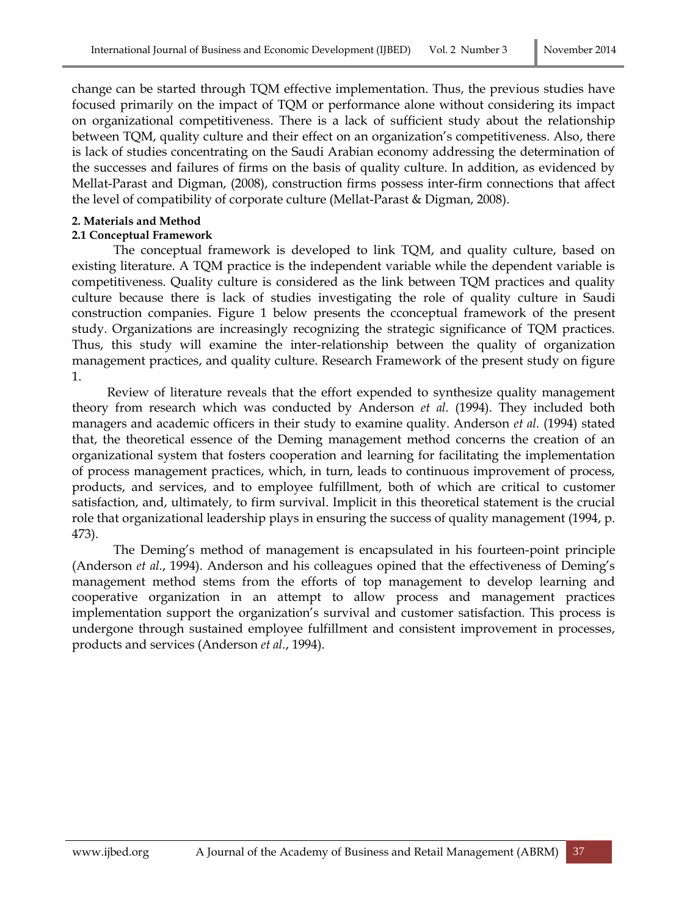change can be started through TQM effective implementation. Thus, the previous studies have focused primarily on the impact of TQM or performance alone without considering its impact on organizational competitiveness. There is a lack of sufficient study about the relationship between TQM, quality culture and their effect on an organization's competitiveness. Also, there is lack of studies concentrating on the Saudi Arabian economy addressing the determination of the successes and failures of firms on the basis of quality culture. In addition, as evidenced by Mellat-Parast and Digman, (2008), construction firms possess inter-firm connections that affect the level of compatibility of corporate culture (Mellat-Parast & Digman, 2008).

### **2. Materials and Method**

### **2.1 Conceptual Framework**

The conceptual framework is developed to link TQM, and quality culture, based on existing literature. A TQM practice is the independent variable while the dependent variable is competitiveness. Quality culture is considered as the link between TQM practices and quality culture because there is lack of studies investigating the role of quality culture in Saudi construction companies. Figure 1 below presents the cconceptual framework of the present study. Organizations are increasingly recognizing the strategic significance of TQM practices. Thus, this study will examine the inter-relationship between the quality of organization management practices, and quality culture. Research Framework of the present study on figure 1.

 Review of literature reveals that the effort expended to synthesize quality management theory from research which was conducted by Anderson *et al.* (1994). They included both managers and academic officers in their study to examine quality. Anderson *et al.* (1994) stated that, the theoretical essence of the Deming management method concerns the creation of an organizational system that fosters cooperation and learning for facilitating the implementation of process management practices, which, in turn, leads to continuous improvement of process, products, and services, and to employee fulfillment, both of which are critical to customer satisfaction, and, ultimately, to firm survival. Implicit in this theoretical statement is the crucial role that organizational leadership plays in ensuring the success of quality management (1994, p. 473).

The Deming's method of management is encapsulated in his fourteen-point principle (Anderson *et al.*, 1994). Anderson and his colleagues opined that the effectiveness of Deming's management method stems from the efforts of top management to develop learning and cooperative organization in an attempt to allow process and management practices implementation support the organization's survival and customer satisfaction. This process is undergone through sustained employee fulfillment and consistent improvement in processes, products and services (Anderson *et al.*, 1994).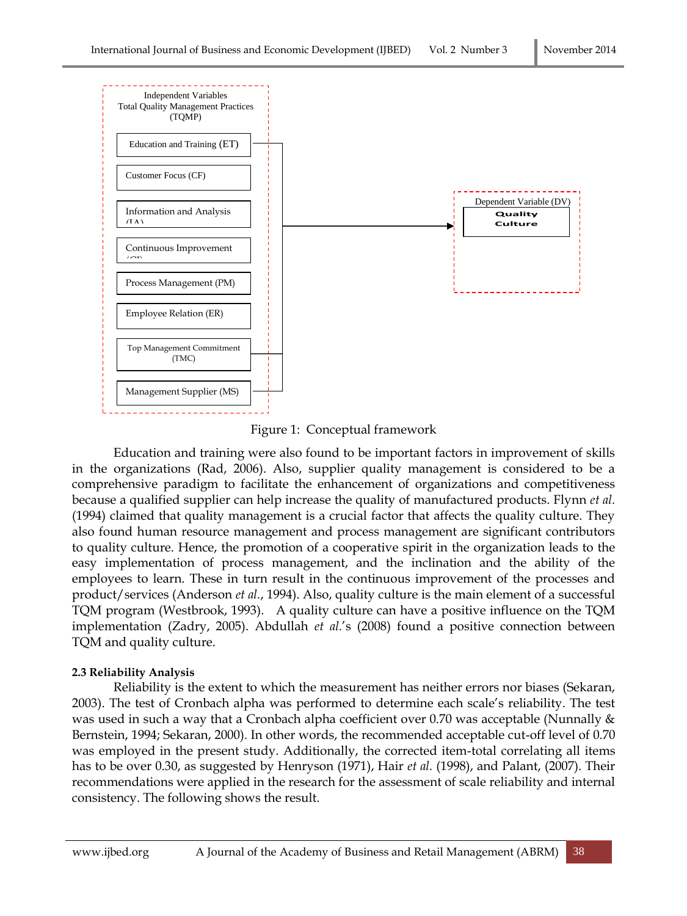

Figure 1: Conceptual framework

Education and training were also found to be important factors in improvement of skills in the organizations (Rad, 2006). Also, supplier quality management is considered to be a comprehensive paradigm to facilitate the enhancement of organizations and competitiveness because a qualified supplier can help increase the quality of manufactured products. Flynn *et al.* (1994) claimed that quality management is a crucial factor that affects the quality culture. They also found human resource management and process management are significant contributors to quality culture. Hence, the promotion of a cooperative spirit in the organization leads to the easy implementation of process management, and the inclination and the ability of the employees to learn. These in turn result in the continuous improvement of the processes and product/services (Anderson *et al.*, 1994). Also, quality culture is the main element of a successful TQM program (Westbrook, 1993). A quality culture can have a positive influence on the TQM implementation (Zadry, 2005). Abdullah *et al.*'s (2008) found a positive connection between TQM and quality culture.

## **2.3 Reliability Analysis**

Reliability is the extent to which the measurement has neither errors nor biases (Sekaran, 2003). The test of Cronbach alpha was performed to determine each scale's reliability. The test was used in such a way that a Cronbach alpha coefficient over 0.70 was acceptable (Nunnally & Bernstein, 1994; Sekaran, 2000). In other words, the recommended acceptable cut-off level of 0.70 was employed in the present study. Additionally, the corrected item-total correlating all items has to be over 0.30, as suggested by Henryson (1971), Hair *et al.* (1998), and Palant, (2007). Their recommendations were applied in the research for the assessment of scale reliability and internal consistency. The following shows the result.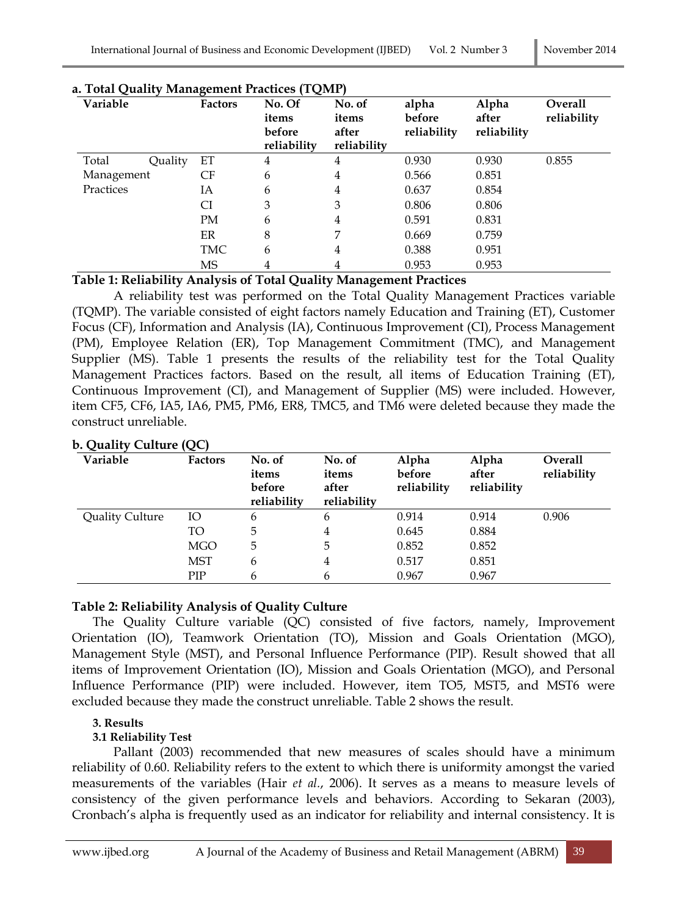| Variable    |         | <b>Factors</b>                          | No. Of<br>items<br>before<br>reliability | No. of<br>items<br>after<br>reliability | alpha<br>before<br>reliability | Alpha<br>after<br>reliability | Overall<br>reliability |
|-------------|---------|-----------------------------------------|------------------------------------------|-----------------------------------------|--------------------------------|-------------------------------|------------------------|
| Total       | Quality | EТ                                      | 4                                        | 4                                       | 0.930                          | 0.930                         | 0.855                  |
| Management  |         | CF                                      | 6                                        | 4                                       | 0.566                          | 0.851                         |                        |
| Practices   |         | IΑ                                      | 6                                        | 4                                       | 0.637                          | 0.854                         |                        |
|             |         | CI                                      | 3                                        | 3                                       | 0.806                          | 0.806                         |                        |
|             |         | <b>PM</b>                               | 6                                        | 4                                       | 0.591                          | 0.831                         |                        |
|             |         | ER                                      | 8                                        | 7                                       | 0.669                          | 0.759                         |                        |
|             |         | <b>TMC</b>                              | 6                                        | 4                                       | 0.388                          | 0.951                         |                        |
| ___________ |         | <b>MS</b><br>$\sim$ $\sim$<br>$\bullet$ | 4<br>$\sim$<br>$\sim$ $\sim$<br>.        | 4<br>$ -$                               | 0.953                          | 0.953                         |                        |

#### **a. Total Quality Management Practices (TQMP)**

### **Table 1: Reliability Analysis of Total Quality Management Practices**

A reliability test was performed on the Total Quality Management Practices variable (TQMP). The variable consisted of eight factors namely Education and Training (ET), Customer Focus (CF), Information and Analysis (IA), Continuous Improvement (CI), Process Management (PM), Employee Relation (ER), Top Management Commitment (TMC), and Management Supplier (MS). Table 1 presents the results of the reliability test for the Total Quality Management Practices factors. Based on the result, all items of Education Training (ET), Continuous Improvement (CI), and Management of Supplier (MS) were included. However, item CF5, CF6, IA5, IA6, PM5, PM6, ER8, TMC5, and TM6 were deleted because they made the construct unreliable.

| Variable               | <b>Factors</b> | No. of<br>items<br>before<br>reliability | No. of<br>items<br>after<br>reliability | Alpha<br>before<br>reliability | Alpha<br>after<br>reliability | Overall<br>reliability |
|------------------------|----------------|------------------------------------------|-----------------------------------------|--------------------------------|-------------------------------|------------------------|
| <b>Quality Culture</b> | IO             | 6                                        | 6                                       | 0.914                          | 0.914                         | 0.906                  |
|                        | TO             | 5                                        | 4                                       | 0.645                          | 0.884                         |                        |
|                        | <b>MGO</b>     | 5                                        | 5                                       | 0.852                          | 0.852                         |                        |
|                        | MST            | 6                                        | 4                                       | 0.517                          | 0.851                         |                        |
|                        | PIP            | 6                                        | 6                                       | 0.967                          | 0.967                         |                        |

# **b. Quality Culture (QC)**

## **Table 2: Reliability Analysis of Quality Culture**

The Quality Culture variable (QC) consisted of five factors, namely, Improvement Orientation (IO), Teamwork Orientation (TO), Mission and Goals Orientation (MGO), Management Style (MST), and Personal Influence Performance (PIP). Result showed that all items of Improvement Orientation (IO), Mission and Goals Orientation (MGO), and Personal Influence Performance (PIP) were included. However, item TO5, MST5, and MST6 were excluded because they made the construct unreliable. Table 2 shows the result.

## **3. Results**

#### **3.1 Reliability Test**

Pallant (2003) recommended that new measures of scales should have a minimum reliability of 0.60. Reliability refers to the extent to which there is uniformity amongst the varied measurements of the variables (Hair *et al.*, 2006). It serves as a means to measure levels of consistency of the given performance levels and behaviors. According to Sekaran (2003), Cronbach's alpha is frequently used as an indicator for reliability and internal consistency. It is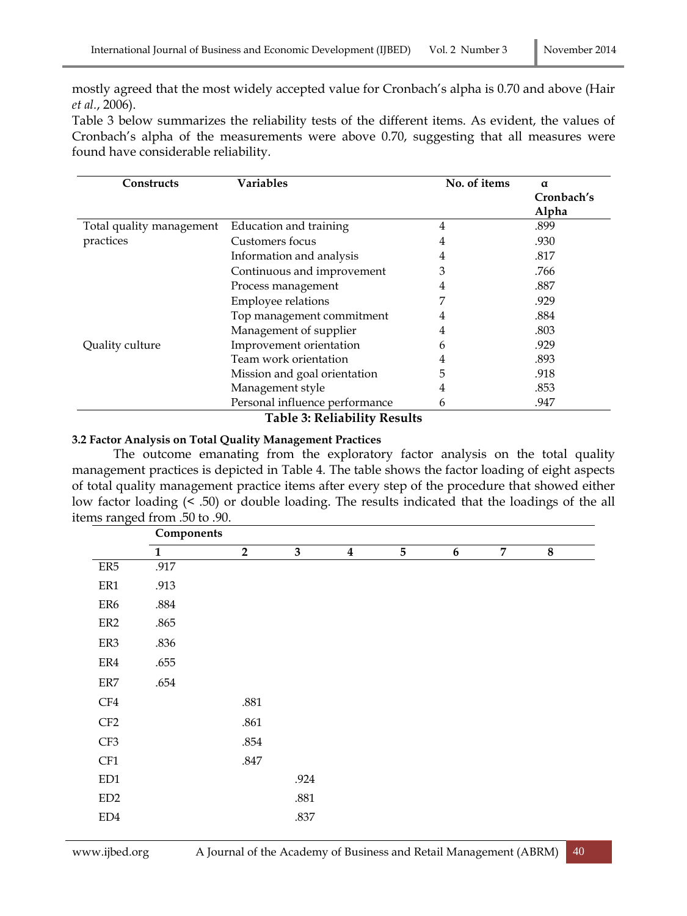mostly agreed that the most widely accepted value for Cronbach's alpha is 0.70 and above (Hair *et al.*, 2006).

Table 3 below summarizes the reliability tests of the different items. As evident, the values of Cronbach's alpha of the measurements were above 0.70, suggesting that all measures were found have considerable reliability.

| <b>Constructs</b>        | <b>Variables</b>               | No. of items | $\alpha$   |
|--------------------------|--------------------------------|--------------|------------|
|                          |                                |              | Cronbach's |
|                          |                                |              | Alpha      |
| Total quality management | Education and training         | 4            | .899       |
| practices                | Customers focus                | 4            | .930       |
|                          | Information and analysis       | 4            | .817       |
|                          | Continuous and improvement     | 3            | .766       |
|                          | Process management             | 4            | .887       |
|                          | Employee relations             |              | .929       |
|                          | Top management commitment      | 4            | .884       |
|                          | Management of supplier         | 4            | .803       |
| Quality culture          | Improvement orientation        | h            | .929       |
|                          | Team work orientation          | 4            | .893       |
|                          | Mission and goal orientation   | 5            | .918       |
|                          | Management style               | 4            | .853       |
|                          | Personal influence performance | 6            | .947       |

**Table 3: Reliability Results**

### **3.2 Factor Analysis on Total Quality Management Practices**

The outcome emanating from the exploratory factor analysis on the total quality management practices is depicted in Table 4. The table shows the factor loading of eight aspects of total quality management practice items after every step of the procedure that showed either low factor loading (< .50) or double loading. The results indicated that the loadings of the all items ranged from .50 to .90.

|                | Components   |                |                         |                  |                |                  |                |   |
|----------------|--------------|----------------|-------------------------|------------------|----------------|------------------|----------------|---|
|                | $\mathbf{1}$ | $\overline{2}$ | $\overline{\mathbf{3}}$ | $\boldsymbol{4}$ | $\overline{5}$ | $\boldsymbol{6}$ | $\overline{7}$ | 8 |
| ER5            | .917         |                |                         |                  |                |                  |                |   |
| ER1            | .913         |                |                         |                  |                |                  |                |   |
| ER6            | $.884\,$     |                |                         |                  |                |                  |                |   |
| ${\rm ER2}$    | .865         |                |                         |                  |                |                  |                |   |
| ER3            | .836         |                |                         |                  |                |                  |                |   |
| ER4            | .655         |                |                         |                  |                |                  |                |   |
| $\rm ER7$      | .654         |                |                         |                  |                |                  |                |   |
| CF4            |              | .881           |                         |                  |                |                  |                |   |
| CF2            |              | .861           |                         |                  |                |                  |                |   |
| CF3            |              | .854           |                         |                  |                |                  |                |   |
| CF1            |              | .847           |                         |                  |                |                  |                |   |
| ED1            |              |                | .924                    |                  |                |                  |                |   |
| ED2            |              |                | $.881\,$                |                  |                |                  |                |   |
| $\mathrm{ED}4$ |              |                | .837                    |                  |                |                  |                |   |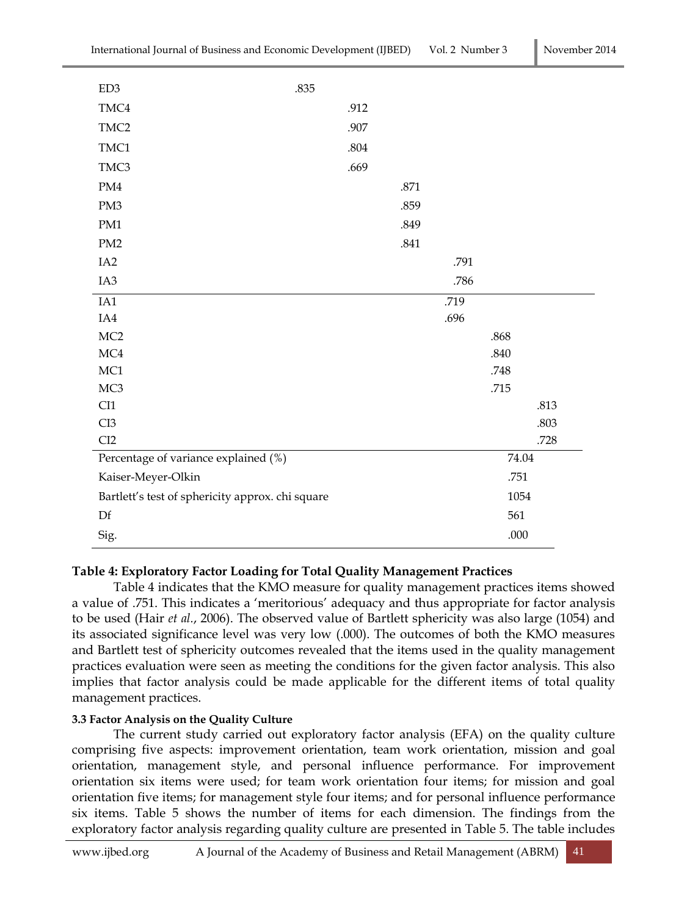| ED3                                              | .835 |          |      |      |       |      |
|--------------------------------------------------|------|----------|------|------|-------|------|
| TMC4                                             |      | .912     |      |      |       |      |
| TMC <sub>2</sub>                                 |      | .907     |      |      |       |      |
| TMC1                                             |      | $.804\,$ |      |      |       |      |
| TMC3                                             |      | .669     |      |      |       |      |
| $\mathrm{PM4}$                                   |      |          | .871 |      |       |      |
| PM3                                              |      |          | .859 |      |       |      |
| PM1                                              |      |          | .849 |      |       |      |
| PM <sub>2</sub>                                  |      |          | .841 |      |       |      |
| IA <sub>2</sub>                                  |      |          |      | .791 |       |      |
| IA3                                              |      |          |      | .786 |       |      |
| IA1                                              |      |          |      | .719 |       |      |
| IA4                                              |      |          |      | .696 |       |      |
| MC2                                              |      |          |      |      | .868  |      |
| $\rm MC4$                                        |      |          |      |      | .840  |      |
| MC1                                              |      |          |      |      | .748  |      |
| MC <sub>3</sub>                                  |      |          |      |      | .715  |      |
| CI1                                              |      |          |      |      |       | .813 |
| CI3                                              |      |          |      |      |       | .803 |
| CI2                                              |      |          |      |      |       | .728 |
| Percentage of variance explained (%)             |      |          |      |      | 74.04 |      |
| Kaiser-Meyer-Olkin                               |      |          |      |      | .751  |      |
| Bartlett's test of sphericity approx. chi square |      |          |      |      | 1054  |      |
| Df                                               |      |          |      |      | 561   |      |
| Sig.                                             |      |          |      |      | .000  |      |

## **Table 4: Exploratory Factor Loading for Total Quality Management Practices**

Table 4 indicates that the KMO measure for quality management practices items showed a value of .751. This indicates a 'meritorious' adequacy and thus appropriate for factor analysis to be used (Hair *et al.*, 2006). The observed value of Bartlett sphericity was also large (1054) and its associated significance level was very low (.000). The outcomes of both the KMO measures and Bartlett test of sphericity outcomes revealed that the items used in the quality management practices evaluation were seen as meeting the conditions for the given factor analysis. This also implies that factor analysis could be made applicable for the different items of total quality management practices.

#### **3.3 Factor Analysis on the Quality Culture**

The current study carried out exploratory factor analysis (EFA) on the quality culture comprising five aspects: improvement orientation, team work orientation, mission and goal orientation, management style, and personal influence performance. For improvement orientation six items were used; for team work orientation four items; for mission and goal orientation five items; for management style four items; and for personal influence performance six items. Table 5 shows the number of items for each dimension. The findings from the exploratory factor analysis regarding quality culture are presented in Table 5. The table includes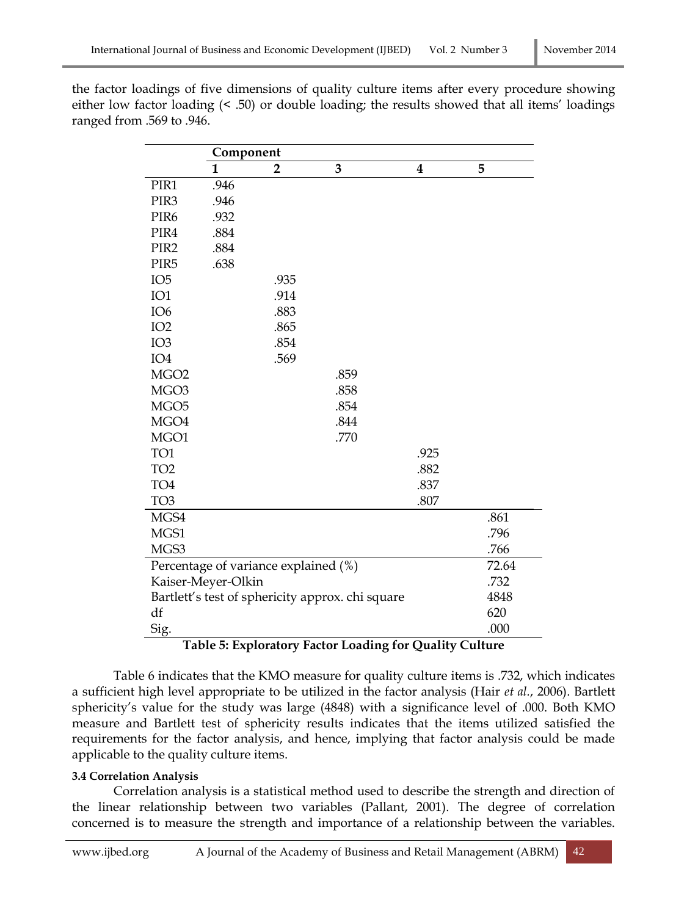|                  | Component          |                                      |                                                  |                  |       |
|------------------|--------------------|--------------------------------------|--------------------------------------------------|------------------|-------|
|                  | 1                  | $\overline{2}$                       | 3                                                | $\boldsymbol{4}$ | 5     |
| PIR1             | .946               |                                      |                                                  |                  |       |
| PIR <sub>3</sub> | .946               |                                      |                                                  |                  |       |
| PIR <sub>6</sub> | .932               |                                      |                                                  |                  |       |
| PIR4             | .884               |                                      |                                                  |                  |       |
| PIR <sub>2</sub> | .884               |                                      |                                                  |                  |       |
| PIR <sub>5</sub> | .638               |                                      |                                                  |                  |       |
| IO <sub>5</sub>  |                    | .935                                 |                                                  |                  |       |
| IO1              |                    | .914                                 |                                                  |                  |       |
| IO <sub>6</sub>  |                    | .883                                 |                                                  |                  |       |
| IO <sub>2</sub>  |                    | .865                                 |                                                  |                  |       |
| IO <sub>3</sub>  |                    | .854                                 |                                                  |                  |       |
| IO <sub>4</sub>  |                    | .569                                 |                                                  |                  |       |
| MGO <sub>2</sub> |                    |                                      | .859                                             |                  |       |
| MGO <sub>3</sub> |                    |                                      | .858                                             |                  |       |
| MGO <sub>5</sub> |                    |                                      | .854                                             |                  |       |
| MGO4             |                    |                                      | .844                                             |                  |       |
| MGO1             |                    |                                      | .770                                             |                  |       |
| TO1              |                    |                                      |                                                  | .925             |       |
| TO <sub>2</sub>  |                    |                                      |                                                  | .882             |       |
| TO <sub>4</sub>  |                    |                                      |                                                  | .837             |       |
| TO <sub>3</sub>  |                    |                                      |                                                  | .807             |       |
| MGS4             |                    |                                      |                                                  |                  | .861  |
| MGS1             |                    |                                      |                                                  |                  | .796  |
| MGS3             |                    |                                      |                                                  |                  | .766  |
|                  |                    | Percentage of variance explained (%) |                                                  |                  | 72.64 |
|                  | Kaiser-Meyer-Olkin |                                      |                                                  |                  | .732  |
|                  |                    |                                      | Bartlett's test of sphericity approx. chi square |                  | 4848  |
| df               |                    |                                      |                                                  |                  | 620   |
| Sig.             |                    |                                      |                                                  |                  | .000  |

the factor loadings of five dimensions of quality culture items after every procedure showing either low factor loading (< .50) or double loading; the results showed that all items' loadings ranged from .569 to .946.

**Table 5: Exploratory Factor Loading for Quality Culture**

Table 6 indicates that the KMO measure for quality culture items is .732, which indicates a sufficient high level appropriate to be utilized in the factor analysis (Hair *et al.*, 2006). Bartlett sphericity's value for the study was large (4848) with a significance level of .000. Both KMO measure and Bartlett test of sphericity results indicates that the items utilized satisfied the requirements for the factor analysis, and hence, implying that factor analysis could be made applicable to the quality culture items.

## **3.4 Correlation Analysis**

Correlation analysis is a statistical method used to describe the strength and direction of the linear relationship between two variables (Pallant, 2001). The degree of correlation concerned is to measure the strength and importance of a relationship between the variables.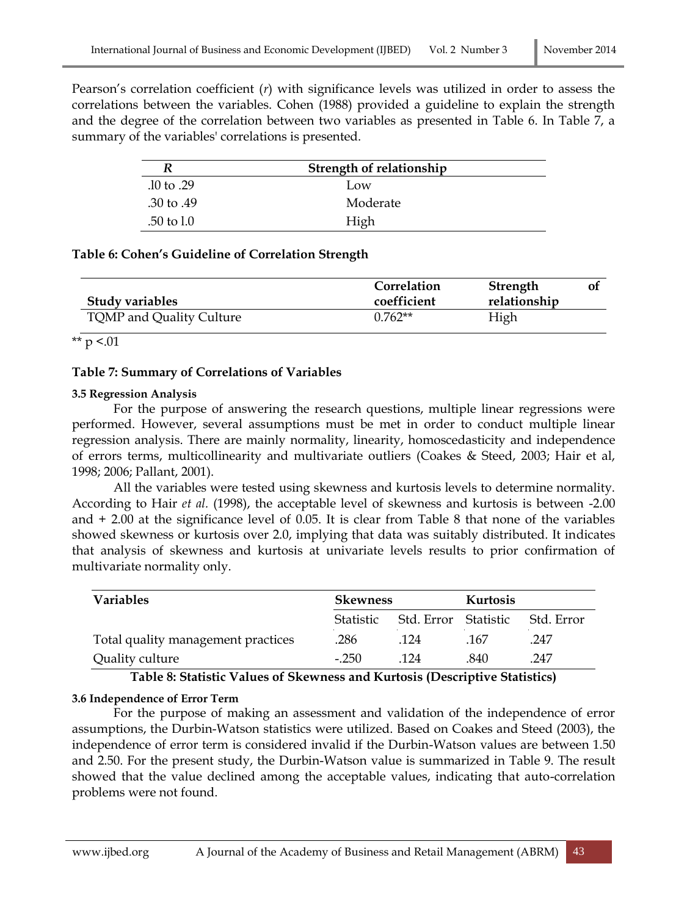Pearson's correlation coefficient (*r*) with significance levels was utilized in order to assess the correlations between the variables. Cohen (1988) provided a guideline to explain the strength and the degree of the correlation between two variables as presented in Table 6. In Table 7, a summary of the variables' correlations is presented.

|                | Strength of relationship |  |
|----------------|--------------------------|--|
| $.10$ to $.29$ | Low                      |  |
| .30 to .49     | Moderate                 |  |
| $.50$ to $1.0$ | High                     |  |

### **Table 6: Cohen's Guideline of Correlation Strength**

| <b>Study variables</b>   | Correlation<br>coefficient | <b>Strength</b><br>relationship |  |
|--------------------------|----------------------------|---------------------------------|--|
| TQMP and Quality Culture | $0.762**$                  | High                            |  |

\*\*  $p < 01$ 

## **Table 7: Summary of Correlations of Variables**

### **3.5 Regression Analysis**

For the purpose of answering the research questions, multiple linear regressions were performed. However, several assumptions must be met in order to conduct multiple linear regression analysis. There are mainly normality, linearity, homoscedasticity and independence of errors terms, multicollinearity and multivariate outliers (Coakes & Steed, 2003; Hair et al, 1998; 2006; Pallant, 2001).

All the variables were tested using skewness and kurtosis levels to determine normality. According to Hair *et al.* (1998), the acceptable level of skewness and kurtosis is between -2.00 and + 2.00 at the significance level of 0.05. It is clear from Table 8 that none of the variables showed skewness or kurtosis over 2.0, implying that data was suitably distributed. It indicates that analysis of skewness and kurtosis at univariate levels results to prior confirmation of multivariate normality only.

| <b>Variables</b>                   | <b>Skewness</b>  |                      | Kurtosis |            |
|------------------------------------|------------------|----------------------|----------|------------|
|                                    | <b>Statistic</b> | Std. Error Statistic |          | Std. Error |
| Total quality management practices | .286             | .124                 | .167     | .247       |
| Quality culture                    | $-250$           | 124                  | .840     | .247       |

**Table 8: Statistic Values of Skewness and Kurtosis (Descriptive Statistics)**

## **3.6 Independence of Error Term**

For the purpose of making an assessment and validation of the independence of error assumptions, the Durbin-Watson statistics were utilized. Based on Coakes and Steed (2003), the independence of error term is considered invalid if the Durbin-Watson values are between 1.50 and 2.50. For the present study, the Durbin-Watson value is summarized in Table 9. The result showed that the value declined among the acceptable values, indicating that auto-correlation problems were not found.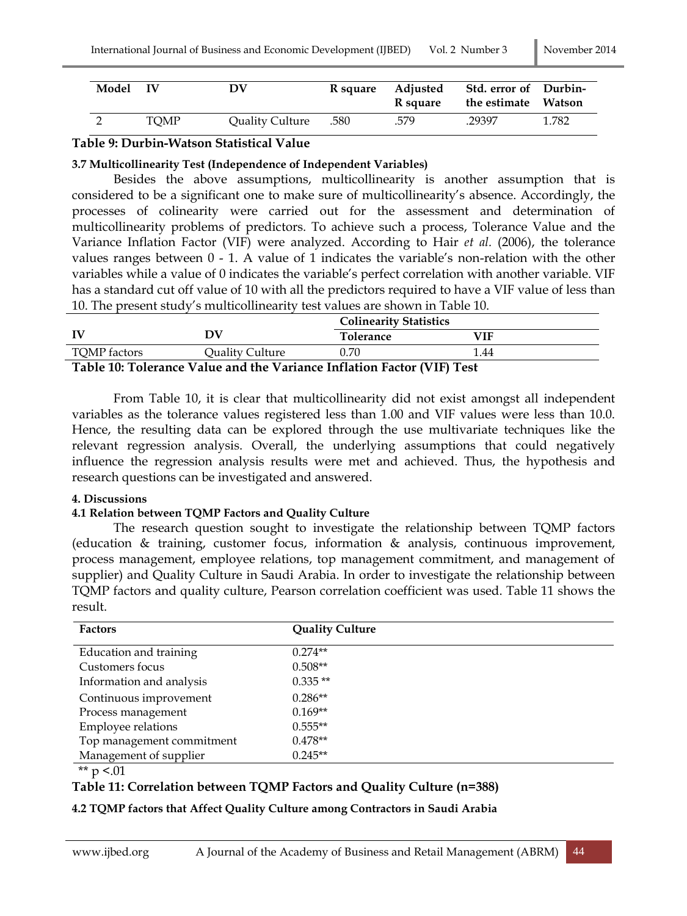| Model IV |             | DV              | R square | Adjusted<br>R square | Std. error of Durbin-<br>the estimate Watson |       |
|----------|-------------|-----------------|----------|----------------------|----------------------------------------------|-------|
|          | <b>TOMP</b> | Quality Culture | .580     | .579                 | .29397                                       | 1.782 |

### **Table 9: Durbin-Watson Statistical Value**

#### **3.7 Multicollinearity Test (Independence of Independent Variables)**

Besides the above assumptions, multicollinearity is another assumption that is considered to be a significant one to make sure of multicollinearity's absence. Accordingly, the processes of colinearity were carried out for the assessment and determination of multicollinearity problems of predictors. To achieve such a process, Tolerance Value and the Variance Inflation Factor (VIF) were analyzed. According to Hair *et al.* (2006), the tolerance values ranges between 0 - 1. A value of 1 indicates the variable's non-relation with the other variables while a value of 0 indicates the variable's perfect correlation with another variable. VIF has a standard cut off value of 10 with all the predictors required to have a VIF value of less than 10. The present study's multicollinearity test values are shown in Table 10.

|                                                                        |                 | <b>Colinearity Statistics</b> |      |  |  |
|------------------------------------------------------------------------|-----------------|-------------------------------|------|--|--|
| <b>IV</b>                                                              | DV              | <b>Tolerance</b>              | VIF  |  |  |
| TQMP factors                                                           | Quality Culture | 0.70                          | 1.44 |  |  |
| Table 10: Tolerance Value and the Variance Inflation Factor (VIF) Test |                 |                               |      |  |  |

From Table 10, it is clear that multicollinearity did not exist amongst all independent variables as the tolerance values registered less than 1.00 and VIF values were less than 10.0. Hence, the resulting data can be explored through the use multivariate techniques like the relevant regression analysis. Overall, the underlying assumptions that could negatively influence the regression analysis results were met and achieved. Thus, the hypothesis and research questions can be investigated and answered.

#### **4. Discussions**

#### **4.1 Relation between TQMP Factors and Quality Culture**

The research question sought to investigate the relationship between TQMP factors (education & training, customer focus, information & analysis, continuous improvement, process management, employee relations, top management commitment, and management of supplier) and Quality Culture in Saudi Arabia. In order to investigate the relationship between TQMP factors and quality culture, Pearson correlation coefficient was used. Table 11 shows the result.

| <b>Factors</b>            | <b>Quality Culture</b> |
|---------------------------|------------------------|
| Education and training    | $0.274**$              |
| Customers focus           | $0.508**$              |
| Information and analysis  | $0.335**$              |
| Continuous improvement    | $0.286**$              |
| Process management        | $0.169**$              |
| Employee relations        | $0.555**$              |
| Top management commitment | $0.478**$              |
| Management of supplier    | $0.245**$              |

\*\*  $p < 01$ 

## **Table 11: Correlation between TQMP Factors and Quality Culture (n=388)**

#### **4.2 TQMP factors that Affect Quality Culture among Contractors in Saudi Arabia**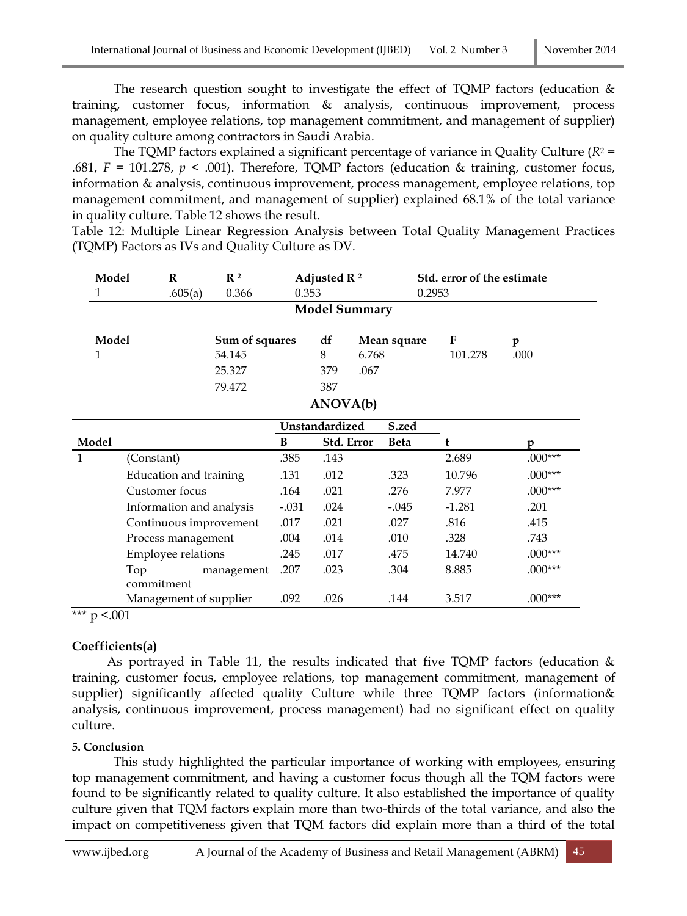The research question sought to investigate the effect of TQMP factors (education & training, customer focus, information & analysis, continuous improvement, process management, employee relations, top management commitment, and management of supplier) on quality culture among contractors in Saudi Arabia.

The TQMP factors explained a significant percentage of variance in Quality Culture (*R*<sup>2</sup> = .681,  $F = 101.278$ ,  $p < .001$ ). Therefore, TQMP factors (education & training, customer focus, information & analysis, continuous improvement, process management, employee relations, top management commitment, and management of supplier) explained 68.1% of the total variance in quality culture. Table 12 shows the result.

Table 12: Multiple Linear Regression Analysis between Total Quality Management Practices (TQMP) Factors as IVs and Quality Culture as DV.

| Model | R                        | R <sup>2</sup> |                | Adjusted R <sup>2</sup> |       |             | Std. error of the estimate<br>0.2953 |           |  |
|-------|--------------------------|----------------|----------------|-------------------------|-------|-------------|--------------------------------------|-----------|--|
|       | .605(a)<br>0.366         |                | 0.353          |                         |       |             |                                      |           |  |
|       |                          |                |                | <b>Model Summary</b>    |       |             |                                      |           |  |
|       | Model<br>Sum of squares  |                | df             |                         |       | Mean square | F                                    | p         |  |
| 1     |                          | 54.145         |                | 8                       | 6.768 |             | 101.278                              | .000      |  |
|       |                          | 25.327         |                | 379                     | .067  |             |                                      |           |  |
|       |                          | 79.472         |                | 387                     |       |             |                                      |           |  |
|       |                          |                |                | ANOVA(b)                |       |             |                                      |           |  |
|       |                          |                | Unstandardized |                         |       | S.zed       |                                      |           |  |
| Model |                          |                | B              | Std. Error              |       | <b>Beta</b> | t                                    | D         |  |
| 1     | (Constant)               |                | .385           | .143                    |       |             | 2.689                                | $.000***$ |  |
|       | Education and training   |                | .131           | .012                    |       | .323        | 10.796                               | $.000***$ |  |
|       | Customer focus           |                | .164           | .021                    |       | .276        | 7.977                                | $.000***$ |  |
|       | Information and analysis |                | $-.031$        | .024                    |       | $-.045$     | $-1.281$                             | .201      |  |
|       | Continuous improvement   |                | .017           | .021                    |       | .027        | .816                                 | .415      |  |
|       | Process management       |                | .004           | .014                    |       | .010        | .328                                 | .743      |  |
|       | Employee relations       |                | .245           | .017                    |       | .475        | 14.740                               | $.000***$ |  |
|       | Top<br>commitment        | management     | .207           | .023                    |       | .304        | 8.885                                | $.000***$ |  |
|       | Management of supplier   |                | .092           | .026                    |       | .144        | 3.517                                | $.000***$ |  |

 $\frac{1}{2}$  \*\*\* p <.001

## **Coefficients(a)**

As portrayed in Table 11, the results indicated that five TQMP factors (education  $\&$ training, customer focus, employee relations, top management commitment, management of supplier) significantly affected quality Culture while three TQMP factors (information& analysis, continuous improvement, process management) had no significant effect on quality culture.

## **5. Conclusion**

This study highlighted the particular importance of working with employees, ensuring top management commitment, and having a customer focus though all the TQM factors were found to be significantly related to quality culture. It also established the importance of quality culture given that TQM factors explain more than two-thirds of the total variance, and also the impact on competitiveness given that TQM factors did explain more than a third of the total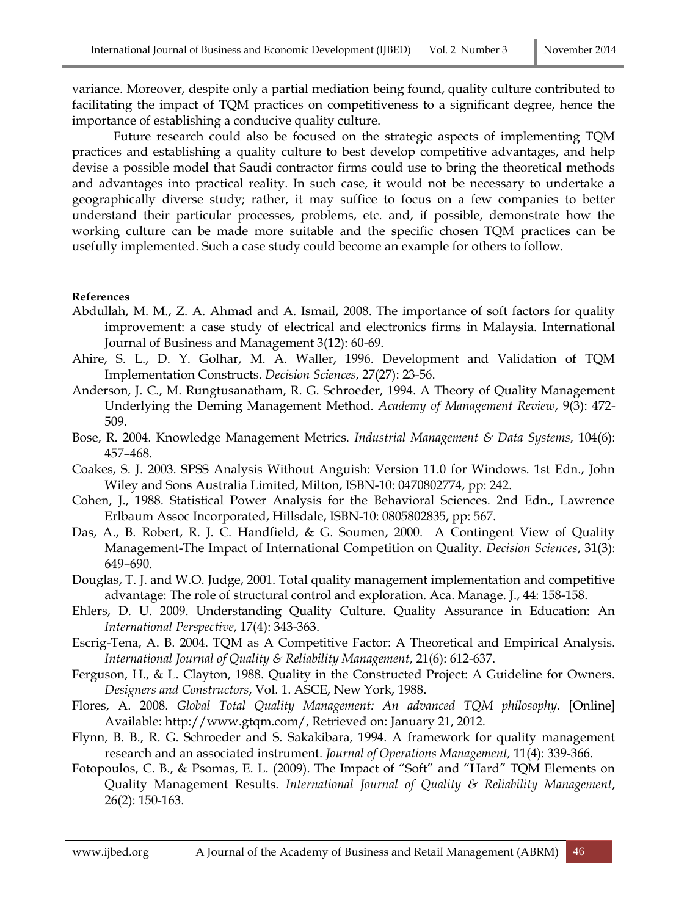variance. Moreover, despite only a partial mediation being found, quality culture contributed to facilitating the impact of TQM practices on competitiveness to a significant degree, hence the importance of establishing a conducive quality culture.

Future research could also be focused on the strategic aspects of implementing TQM practices and establishing a quality culture to best develop competitive advantages, and help devise a possible model that Saudi contractor firms could use to bring the theoretical methods and advantages into practical reality. In such case, it would not be necessary to undertake a geographically diverse study; rather, it may suffice to focus on a few companies to better understand their particular processes, problems, etc. and, if possible, demonstrate how the working culture can be made more suitable and the specific chosen TQM practices can be usefully implemented. Such a case study could become an example for others to follow.

#### **References**

- Abdullah, M. M., Z. A. Ahmad and A. Ismail, 2008. The importance of soft factors for quality improvement: a case study of electrical and electronics firms in Malaysia. International Journal of Business and Management 3(12): 60-69.
- Ahire, S. L., D. Y. Golhar, M. A. Waller, 1996. Development and Validation of TQM Implementation Constructs. *Decision Sciences*, 27(27): 23-56.
- Anderson, J. C., M. Rungtusanatham, R. G. Schroeder, 1994. A Theory of Quality Management Underlying the Deming Management Method. *Academy of Management Review*, 9(3): 472- 509.
- Bose, R. 2004. Knowledge Management Metrics. *Industrial Management & Data Systems*, 104(6): 457–468.
- Coakes, S. J. 2003. SPSS Analysis Without Anguish: Version 11.0 for Windows. 1st Edn., John Wiley and Sons Australia Limited, Milton, ISBN-10: 0470802774, pp: 242.
- Cohen, J., 1988. Statistical Power Analysis for the Behavioral Sciences. 2nd Edn., Lawrence Erlbaum Assoc Incorporated, Hillsdale, ISBN-10: 0805802835, pp: 567.
- Das, A., B. Robert, R. J. C. Handfield, & G. Soumen, 2000. A Contingent View of Quality Management-The Impact of International Competition on Quality. *Decision Sciences*, [31\(3\):](http://onlinelibrary.wiley.com/doi/10.1111/deci.2000.31.issue-3/issuetoc)  649–690.
- Douglas, T. J. and W.O. Judge, 2001. Total quality management implementation and competitive advantage: The role of structural control and exploration. Aca. Manage. J., 44: 158-158.
- Ehlers, D. U. 2009. Understanding Quality Culture. Quality Assurance in Education: An *International Perspective*, 17(4): 343-363.
- Escrig-Tena, A. B. 2004. TQM as A Competitive Factor: A Theoretical and Empirical Analysis. *International Journal of Quality & Reliability Management*, 21(6): 612-637.
- Ferguson, H., & L. Clayton, 1988. Quality in the Constructed Project: A Guideline for Owners. *Designers and Constructors*, Vol. 1. ASCE, New York, 1988.
- Flores, A. 2008. *Global Total Quality Management: An advanced TQM philosophy*. [Online] Available: http://www.gtqm.com/, Retrieved on: January 21, 2012.
- Flynn, B. B., R. G. Schroeder and S. Sakakibara, 1994. A framework for quality management research and an associated instrument. *Journal of Operations Management,* 11(4): 339-366.
- Fotopoulos, C. B., & Psomas, E. L. (2009). The Impact of "Soft" and "Hard" TQM Elements on Quality Management Results. *International Journal of Quality & Reliability Management*, 26(2): 150-163.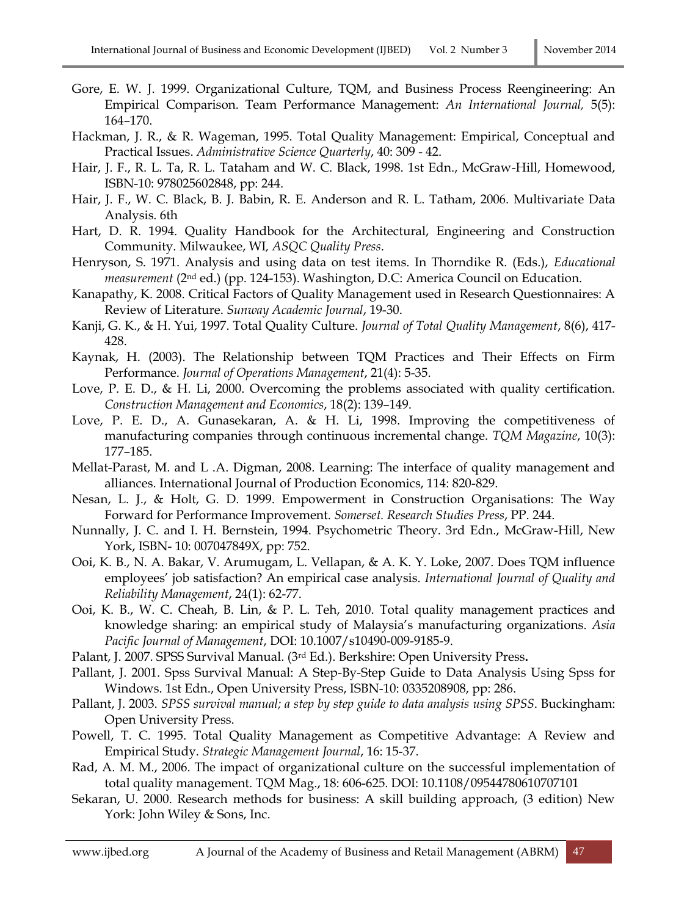- Gore, E. W. J. 1999. Organizational Culture, TQM, and Business Process Reengineering: An Empirical Comparison. Team Performance Management: *An International Journal,* 5(5): 164–170.
- Hackman, J. R., & R. Wageman, 1995. Total Quality Management: Empirical, Conceptual and Practical Issues. *Administrative Science Quarterly*, 40: 309 - 42.
- Hair, J. F., R. L. Ta, R. L. Tataham and W. C. Black, 1998. 1st Edn., McGraw-Hill, Homewood, ISBN-10: 978025602848, pp: 244.
- Hair, J. F., W. C. Black, B. J. Babin, R. E. Anderson and R. L. Tatham, 2006. Multivariate Data Analysis. 6th
- Hart, D. R. 1994. Quality Handbook for the Architectural, Engineering and Construction Community. Milwaukee, WI*, ASQC Quality Press*.
- Henryson, S. 1971. Analysis and using data on test items. In Thorndike R. (Eds.), *Educational measurement* (2nd ed.) (pp. 124-153). Washington, D.C: America Council on Education.
- Kanapathy, K. 2008. Critical Factors of Quality Management used in Research Questionnaires: A Review of Literature. *Sunway Academic Journal*, 19-30.
- Kanji, G. K., & H. Yui, 1997. Total Quality Culture. *Journal of Total Quality Management*, 8(6), 417- 428.
- Kaynak, H. (2003). The Relationship between TQM Practices and Their Effects on Firm Performance. *Journal of Operations Management*, 21(4): 5-35.
- Love, P. E. D., & H. Li, 2000. Overcoming the problems associated with quality certification. *Construction Management and Economics*, 18(2): 139–149.
- Love, P. E. D., A. Gunasekaran, A. & H. Li, 1998. Improving the competitiveness of manufacturing companies through continuous incremental change. *TQM Magazine*, 10(3): 177–185.
- Mellat-Parast, M. and L .A. Digman, 2008. Learning: The interface of quality management and alliances. International Journal of Production Economics, 114: 820-829.
- Nesan, L. J., & Holt, G. D. 1999. Empowerment in Construction Organisations: The Way Forward for Performance Improvement. *Somerset. Research Studies Press*, PP. 244.
- Nunnally, J. C. and I. H. Bernstein, 1994. Psychometric Theory. 3rd Edn., McGraw-Hill, New York, ISBN- 10: 007047849X, pp: 752.
- Ooi, K. B., N. A. Bakar, V. Arumugam, L. Vellapan, & A. K. Y. Loke, 2007. Does TQM influence employees' job satisfaction? An empirical case analysis. *International Journal of Quality and Reliability Management*, 24(1): 62-77.
- Ooi, K. B., W. C. Cheah, B. Lin, & P. L. Teh, 2010. Total quality management practices and knowledge sharing: an empirical study of Malaysia's manufacturing organizations. *Asia Pacific Journal of Management*, DOI: 10.1007/s10490-009-9185-9.
- Palant, J. 2007. SPSS Survival Manual. (3rd Ed.). Berkshire: Open University Press**.**
- Pallant, J. 2001. Spss Survival Manual: A Step-By-Step Guide to Data Analysis Using Spss for Windows. 1st Edn., Open University Press, ISBN-10: 0335208908, pp: 286.
- Pallant, J. 2003. *SPSS survival manual; a step by step guide to data analysis using SPSS*. Buckingham: Open University Press.
- Powell, T. C. 1995. Total Quality Management as Competitive Advantage: A Review and Empirical Study. *Strategic Management Journal*, 16: 15-37.
- Rad, A. M. M., 2006. The impact of organizational culture on the successful implementation of total quality management. TQM Mag., 18: 606-625. DOI: 10.1108/09544780610707101
- Sekaran, U. 2000. Research methods for business: A skill building approach, (3 edition) New York: John Wiley & Sons, Inc.